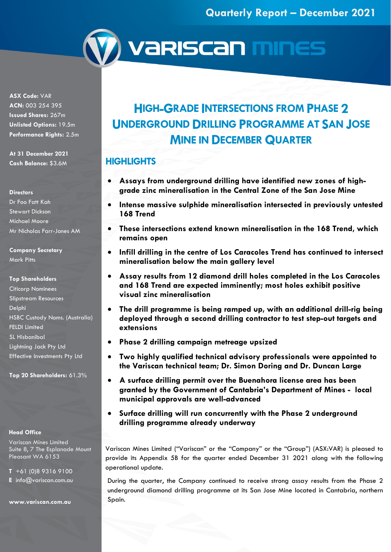

**(Y) variscan mines** 

**ASX Code:** VAR **ACN:** 003 254 395 **Issued Shares:** 267m **Unlisted Options:** 19.5m **Performance Rights:** 2.5m

**At 31 December 2021 Cash Balance:** \$3.6M

#### **Directors**

Dr Foo Fatt Kah Stewart Dickson Michael Moore Mr Nicholas Farr-Jones AM

**Company Secretary** Mark Pitts

#### **Top Shareholders**

Citicorp Nominees Slipstream Resources Delphi HSBC Custody Noms. (Australia) FELDI Limited SL Hisbanibal Lightning Jack Pty Ltd Effective Investments Pty Ltd

**Top 20 Shareholders:** 61.3%

### **Head Office**

Variscan Mines Limited Suite 8, 7 The Esplanade Mount Pleasant WA 6153

**T** +61 (0)8 9316 9100

**E** info@variscan.com.au

**www.variscan.com.au**

# **HIGH-GRADE INTERSECTIONS FROM PHASE 2 UNDERGROUND DRILLING PROGRAMME AT SAN JOSE MINE IN DECEMBER QUARTER**

### **HIGHLIGHTS**

- **Assays from underground drilling have identified new zones of highgrade zinc mineralisation in the Central Zone of the San Jose Mine**
- **Intense massive sulphide mineralisation intersected in previously untested 168 Trend**
- **These intersections extend known mineralisation in the 168 Trend, which remains open**
- **Infill drilling in the centre of Los Caracoles Trend has continued to intersect mineralisation below the main gallery level**
- **Assay results from 12 diamond drill holes completed in the Los Caracoles and 168 Trend are expected imminently; most holes exhibit positive visual zinc mineralisation**
- **The drill programme is being ramped up, with an additional drill-rig being deployed through a second drilling contractor to test step-out targets and extensions**
- **Phase 2 drilling campaign metreage upsized**
- **Two highly qualified technical advisory professionals were appointed to the Variscan technical team; Dr. Simon Doring and Dr. Duncan Large**
- **A surface drilling permit over the Buenahora license area has been granted by the Government of Cantabria's Department of Mines - local municipal approvals are well-advanced**
- **Surface drilling will run concurrently with the Phase 2 underground drilling programme already underway**

Variscan Mines Limited ("Variscan" or the "Company" or the "Group") (ASX:VAR) is pleased to provide its Appendix 5B for the quarter ended December 31 2021 along with the following operational update.

During the quarter, the Company continued to receive strong assay results from the Phase 2 underground diamond drilling programme at its San Jose Mine located in Cantabria, northern Spain.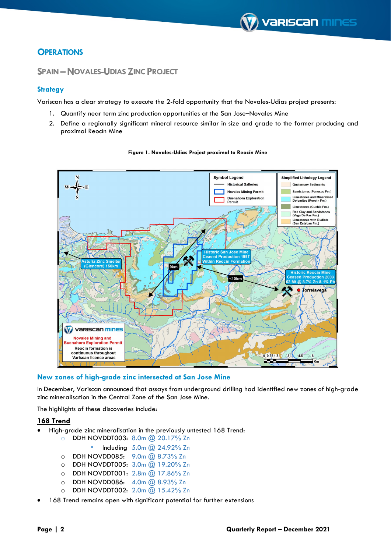### **OPERATIONS**

### **SPAIN–NOVALES-UDIAS ZINC PROJECT**

### **Strategy**

Variscan has a clear strategy to execute the 2-fold opportunity that the Novales-Udias project presents:

- 1. Quantify near term zinc production opportunities at the San Jose–Novales Mine
- 2. Define a regionally significant mineral resource similar in size and grade to the former producing and proximal Reocín Mine



#### **Figure 1. Novales-Udias Project proximal to Reocín Mine**

### **New zones of high-grade zinc intersected at San Jose Mine**

In December, Variscan announced that assays from underground drilling had identified new zones of high-grade zinc mineralisation in the Central Zone of the San Jose Mine.

The highlights of these discoveries include:

### **168 Trend**

- High-grade zinc mineralisation in the previously untested 168 Trend:
	- o DDH NOVDDT003: 8.0m @ 20.17% Zn
		- Including 5.0m @ 24.92% Zn
	- o DDH NOVDD085: 9.0m @ 8.73% Zn
	- $O$  DDH NOVDDT005:  $3.0\text{m}$   $\overline{Q}$  19.20% Zn
	- o DDH NOVDDT001: 2.8m @ 17.86% Zn
	- o DDH NOVDD086: 4.0m @ 8.93% Zn
	- o DDH NOVDDT002: 2.0m @ 15.42% Zn
- 168 Trend remains open with significant potential for further extensions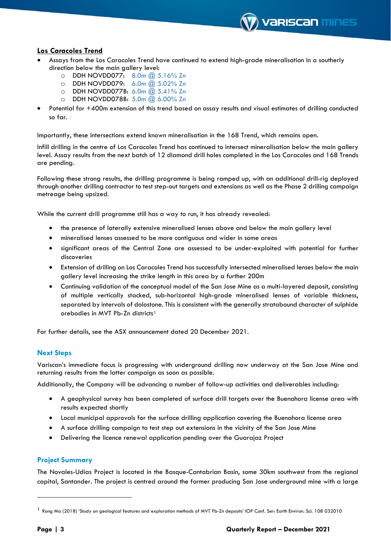

### **Los Caracoles Trend**

- Assays from the Los Caracoles Trend have continued to extend high-grade mineralisation in a southerly direction below the main gallery level:
	- o DDH NOVDD077: 8.0m @ 5.16% Zn
	- o DDH NOVDD079: 6.0m @ 5.02% Zn
	- o DDH NOVDD077B: 6.0m @ 5.41% Zn
	- o DDH NOVDD078B: 5.0m @ 6.00% Zn
- Potential for +400m extension of this trend based on assay results and visual estimates of drilling conducted so far.

Importantly, these intersections extend known mineralisation in the 168 Trend, which remains open.

Infill drilling in the centre of Los Caracoles Trend has continued to intersect mineralisation below the main gallery level. Assay results from the next batch of 12 diamond drill holes completed in the Los Caracoles and 168 Trends are pending.

Following these strong results, the drilling programme is being ramped up, with an additional drill-rig deployed through another drilling contractor to test step-out targets and extensions as well as the Phase 2 drilling campaign metreage being upsized.

While the current drill programme still has a way to run, it has already revealed:

- the presence of laterally extensive mineralised lenses above and below the main gallery level
- mineralised lenses assessed to be more contiguous and wider in some areas
- significant areas of the Central Zone are assessed to be under-exploited with potential for further discoveries
- Extension of drilling on Los Caracoles Trend has successfully intersected mineralised lenses below the main gallery level increasing the strike length in this area by a further 200m
- Continuing validation of the conceptual model of the San Jose Mine as a multi-layered deposit, consisting of multiple vertically stacked, sub-horizontal high-grade mineralised lenses of variable thickness, separated by intervals of dolostone. This is consistent with the generally stratabound character of sulphide orebodies in MVT Pb-Zn districts[1](#page-2-0)

For further details, see the ASX announcement dated 20 December 2021.

### **Next Steps**

Variscan's immediate focus is progressing with underground drilling now underway at the San Jose Mine and returning results from the latter campaign as soon as possible.

Additionally, the Company will be advancing a number of follow-up activities and deliverables including:

- A geophysical survey has been completed of surface drill targets over the Buenahora license area with results expected shortly
- Local municipal approvals for the surface drilling application covering the Buenahora license area
- A surface drilling campaign to test step out extensions in the vicinity of the San Jose Mine
- Delivering the licence renewal application pending over the Guarajaz Project

### **Project Summary**

The Novales-Udias Project is located in the Basque-Cantabrian Basin, some 30km southwest from the regional capital, Santander. The project is centred around the former producing San Jose underground mine with a large

<span id="page-2-0"></span><sup>1</sup> Rong Ma (2018) 'Study on geological features and exploration methods of MVT Pb-Zn deposits' IOP Conf. Ser: Earth Environ. Sci. 108 032010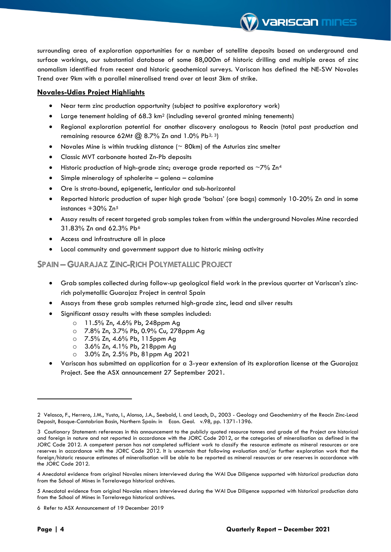surrounding area of exploration opportunities for a number of satellite deposits based on underground and surface workings, our substantial database of some 88,000m of historic drilling and multiple areas of zinc anomalism identified from recent and historic geochemical surveys. Variscan has defined the NE-SW Novales Trend over 9km with a parallel mineralised trend over at least 3km of strike.

**Variscan mines** 

### **Novales-Udias Project Highlights**

- Near term zinc production opportunity (subject to positive exploratory work)
- Large tenement holding of 68.3 km<sup>2</sup> (including several granted mining tenements)
- Regional exploration potential for another discovery analogous to Reocin (total past production and remaining resource 6[2](#page-3-0)Mt  $(2)$  8.7% Zn and 1.0% Pb<sup>2, 3</sup>)
- Novales Mine is within trucking distance ( $\sim$  80km) of the Asturias zinc smelter
- Classic MVT carbonate hosted Zn-Pb deposits
- Historic production of high-grade zinc; average grade reported as  $\sim$ 7% Zn<sup>[4](#page-3-2)</sup>
- Simple mineralogy of sphalerite galena calamine
- Ore is strata-bound, epigenetic, lenticular and sub-horizontal
- Reported historic production of super high grade 'bolsas' (ore bags) commonly 10-20% Zn and in some instances +30% Zn[5](#page-3-3)
- Assay results of recent targeted grab samples taken from within the underground Novales Mine recorded 31.83% Zn and 62.3% Pb[6](#page-3-4)
- Access and infrastructure all in place
- Local community and government support due to historic mining activity

### **SPAIN –GUARAJAZ ZINC-RICH POLYMETALLIC PROJECT**

- Grab samples collected during follow-up geological field work in the previous quarter at Variscan's zincrich polymetallic Guarajaz Project in central Spain
- Assays from these grab samples returned high-grade zinc, lead and silver results
- Significant assay results with these samples included:
	- o 11.5% Zn, 4.6% Pb, 248ppm Ag
	- o 7.8% Zn, 3.7% Pb, 0.9% Cu, 278ppm Ag
	- o 7.5% Zn, 4.6% Pb, 115ppm Ag
	- o 3.6% Zn, 4.1% Pb, 218ppm Ag
	- o 3.0% Zn, 2.5% Pb, 81ppm Ag 2021
- Variscan has submitted an application for a 3-year extension of its exploration license at the Guarajaz Project. See the ASX announcement 27 September 2021.

<span id="page-3-0"></span><sup>2</sup> Velasco, F., Herrero, J.M., Yusta, I., Alonso, J.A., Seebold, I. and Leach, D., 2003 - Geology and Geochemistry of the Reocin Zinc-Lead Deposit, Basque-Cantabrian Basin, Northern Spain: in Econ. Geol. v.98, pp. 1371-1396.

<span id="page-3-1"></span><sup>3</sup> Cautionary Statement: references in this announcement to the publicly quoted resource tonnes and grade of the Project are historical and foreign in nature and not reported in accordance with the JORC Code 2012, or the categories of mineralisation as defined in the JORC Code 2012. A competent person has not completed sufficient work to classify the resource estimate as mineral resources or ore reserves in accordance with the JORC Code 2012. It is uncertain that following evaluation and/or further exploration work that the foreign/historic resource estimates of mineralisation will be able to be reported as mineral resources or ore reserves in accordance with the JORC Code 2012.

<span id="page-3-2"></span><sup>4</sup> Anecdotal evidence from original Novales miners interviewed during the WAI Due Diligence supported with historical production data from the School of Mines in Torrelavega historical archives.

<span id="page-3-3"></span><sup>5</sup> Anecdotal evidence from original Novales miners interviewed during the WAI Due Diligence supported with historical production data from the School of Mines in Torrelavega historical archives.

<span id="page-3-4"></span><sup>6</sup> Refer to ASX Announcement of 19 December 2019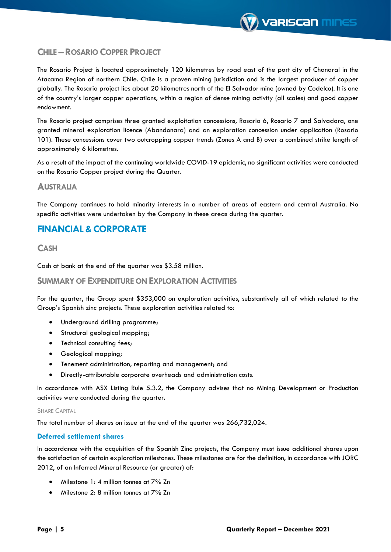### **CHILE –ROSARIO COPPER PROJECT**

The Rosario Project is located approximately 120 kilometres by road east of the port city of Chanaral in the Atacama Region of northern Chile. Chile is a proven mining jurisdiction and is the largest producer of copper globally. The Rosario project lies about 20 kilometres north of the El Salvador mine (owned by Codelco). It is one of the country's larger copper operations, within a region of dense mining activity (all scales) and good copper endowment.

The Rosario project comprises three granted exploitation concessions, Rosario 6, Rosario 7 and Salvadora, one granted mineral exploration licence (Abandonara) and an exploration concession under application (Rosario 101). These concessions cover two outcropping copper trends (Zones A and B) over a combined strike length of approximately 6 kilometres.

As a result of the impact of the continuing worldwide COVID-19 epidemic, no significant activities were conducted on the Rosario Copper project during the Quarter.

### **AUSTRALIA**

The Company continues to hold minority interests in a number of areas of eastern and central Australia. No specific activities were undertaken by the Company in these areas during the quarter.

### **FINANCIAL&CORPORATE**

### **CASH**

Cash at bank at the end of the quarter was \$3.58 million.

### **SUMMARY OF EXPENDITURE ON EXPLORATION ACTIVITIES**

For the quarter, the Group spent \$353,000 on exploration activities, substantively all of which related to the Group's Spanish zinc projects. These exploration activities related to:

- Underground drilling programme;
- Structural geological mapping;
- Technical consulting fees;
- Geological mapping;
- Tenement administration, reporting and management; and
- Directly-attributable corporate overheads and administration costs.

In accordance with ASX Listing Rule 5.3.2, the Company advises that no Mining Development or Production activities were conducted during the quarter.

#### SHARE CAPITAL

The total number of shares on issue at the end of the quarter was 266,732,024.

#### **Deferred settlement shares**

In accordance with the acquisition of the Spanish Zinc projects, the Company must issue additional shares upon the satisfaction of certain exploration milestones. These milestones are for the definition, in accordance with JORC 2012, of an Inferred Mineral Resource (or greater) of:

- Milestone 1: 4 million tonnes at 7% Zn
- Milestone 2: 8 million tonnes at 7% Zn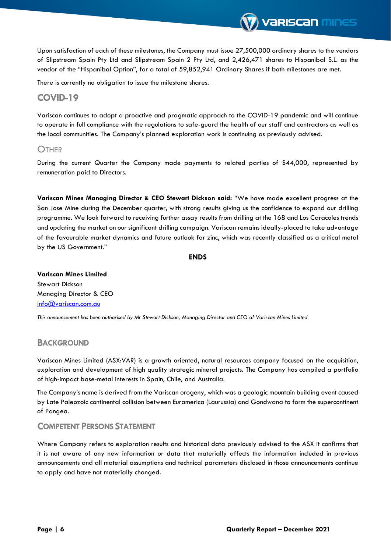Upon satisfaction of each of these milestones, the Company must issue 27,500,000 ordinary shares to the vendors of Slipstream Spain Pty Ltd and Slipstream Spain 2 Pty Ltd, and 2,426,471 shares to Hispanibal S.L. as the vendor of the "Hispanibal Option", for a total of 59,852,941 Ordinary Shares if both milestones are met.

**Variscan mines** 

There is currently no obligation to issue the milestone shares.

### **COVID-19**

Variscan continues to adopt a proactive and pragmatic approach to the COVID-19 pandemic and will continue to operate in full compliance with the regulations to safe-guard the health of our staff and contractors as well as the local communities. The Company's planned exploration work is continuing as previously advised.

### **OTHER**

During the current Quarter the Company made payments to related parties of \$44,000, represented by remuneration paid to Directors.

**Variscan Mines Managing Director & CEO Stewart Dickson said:** "We have made excellent progress at the San Jose Mine during the December quarter, with strong results giving us the confidence to expand our drilling programme. We look forward to receiving further assay results from drilling at the 168 and Los Caracoles trends and updating the market on our significant drilling campaign. Variscan remains ideally-placed to take advantage of the favourable market dynamics and future outlook for zinc, which was recently classified as a critical metal by the US Government."

#### **ENDS**

**Variscan Mines Limited**  Stewart Dickson Managing Director & CEO [info@variscan.com.au](mailto:info@variscan.com.au)

*This announcement has been authorised by Mr Stewart Dickson, Managing Director and CEO of Variscan Mines Limited*

### **BACKGROUND**

Variscan Mines Limited (ASX:VAR) is a growth oriented, natural resources company focused on the acquisition, exploration and development of high quality strategic mineral projects. The Company has compiled a portfolio of high-impact base-metal interests in Spain, Chile, and Australia.

The Company's name is derived from the Variscan orogeny, which was a geologic mountain building event caused by Late Paleozoic continental collision between Euramerica (Laurussia) and Gondwana to form the supercontinent of Pangea.

### **COMPETENT PERSONS STATEMENT**

Where Company refers to exploration results and historical data previously advised to the ASX it confirms that it is not aware of any new information or data that materially affects the information included in previous announcements and all material assumptions and technical parameters disclosed in those announcements continue to apply and have not materially changed.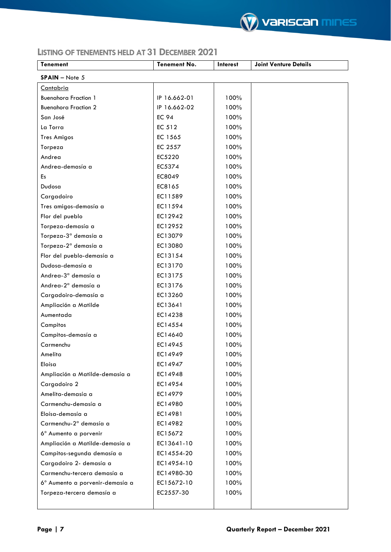

### **LISTING OF TENEMENTS HELD AT 31DECEMBER 2021**

| <b>Tenement</b>                    | <b>Tenement No.</b> | Interest | <b>Joint Venture Details</b> |
|------------------------------------|---------------------|----------|------------------------------|
| $SPAIN - Note 5$                   |                     |          |                              |
| Cantabria                          |                     |          |                              |
| <b>Buenahora Fraction 1</b>        | IP 16.662-01        | 100%     |                              |
| <b>Buenahora Fraction 2</b>        | IP 16.662-02        | 100%     |                              |
| San José                           | <b>EC 94</b>        | 100%     |                              |
| La Torra                           | EC 512              | 100%     |                              |
| <b>Tres Amigos</b>                 | EC 1565             | 100%     |                              |
| Torpeza                            | EC 2557             | 100%     |                              |
| Andrea                             | EC5220              | 100%     |                              |
| Andrea-demasía a                   | EC5374              | 100%     |                              |
| Es                                 | EC8049              | 100%     |                              |
| Dudosa                             | EC8165              | 100%     |                              |
| Cargadoiro                         | EC11589             | 100%     |                              |
| Tres amigos-demasía a              | EC11594             | 100%     |                              |
| Flor del pueblo                    | EC12942             | 100%     |                              |
| Torpeza-demasía a                  | EC12952             | 100%     |                              |
| Torpeza-3 <sup>ª</sup> demasía a   | EC13079             | 100%     |                              |
| Torpeza-2 <sup>a</sup> demasía a   | EC13080             | 100%     |                              |
| Flor del pueblo-demasía a          | EC13154             | 100%     |                              |
| Dudosa-demasía a                   | EC13170             | 100%     |                              |
| Andrea-3 <sup>a</sup> demasía a    | EC13175             | 100%     |                              |
| Andrea-2 <sup>a</sup> demasía a    | EC13176             | 100%     |                              |
| Cargadoiro-demasía a               | EC13260             | 100%     |                              |
| Ampliación a Matilde               | EC13641             | 100%     |                              |
| Aumentada                          | EC14238             | 100%     |                              |
| Campitos                           | EC14554             | 100%     |                              |
| Campitos-demasía a                 | EC14640             | 100%     |                              |
| Carmenchu                          | EC14945             | 100%     |                              |
| Amelita                            | EC14949             | 100%     |                              |
| Eloísa                             | EC14947             | 100%     |                              |
| Ampliación a Matilde-demasía a     | EC14948             | 100%     |                              |
| Cargadoiro 2                       | EC14954             | 100%     |                              |
| Amelita-demasía a                  | EC14979             | 100%     |                              |
| Carmenchu-demasía a                | EC14980             | 100%     |                              |
| Eloísa-demasía a                   | EC14981             | 100%     |                              |
| Carmenchu-2 <sup>a</sup> demasía a | EC14982             | 100%     |                              |
| 6° Aumento a porvenir              | EC15672             | 100%     |                              |
| Ampliación a Matilde-demasía a     | EC13641-10          | 100%     |                              |
| Campitos-segunda demasía a         | EC14554-20          | 100%     |                              |
| Cargadoiro 2- demasía a            | EC14954-10          | 100%     |                              |
| Carmenchu-tercera demasía a        | EC14980-30          | 100%     |                              |
| 6º Aumento a porvenir-demasía a    | EC15672-10          | 100%     |                              |
| Torpeza-tercera demasía a          | EC2557-30           | 100%     |                              |
|                                    |                     |          |                              |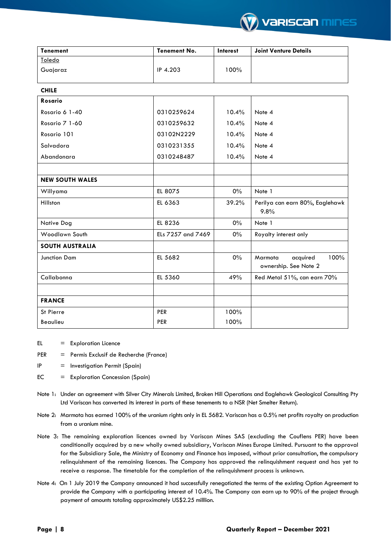

| <b>Tenement</b>        | <b>Tenement No.</b> | <b>Interest</b> | <b>Joint Venture Details</b>                         |
|------------------------|---------------------|-----------------|------------------------------------------------------|
| Toledo                 |                     |                 |                                                      |
| Guajaraz               | IP 4.203            | 100%            |                                                      |
| <b>CHILE</b>           |                     |                 |                                                      |
| Rosario                |                     |                 |                                                      |
| Rosario 6 1-40         | 0310259624          | 10.4%           | Note 4                                               |
| Rosario 7 1-60         | 0310259632          | 10.4%           | Note 4                                               |
| Rosario 101            | 03102N2229          | 10.4%           | Note 4                                               |
| Salvadora              | 0310231355          | 10.4%           | Note 4                                               |
| Abandonara             | 0310248487          | 10.4%           | Note 4                                               |
|                        |                     |                 |                                                      |
| <b>NEW SOUTH WALES</b> |                     |                 |                                                      |
| Willyama               | EL 8075             | $0\%$           | Note 1                                               |
| Hillston               | EL 6363             | 39.2%           | Perilya can earn 80%, Eaglehawk<br>9.8%              |
| Native Dog             | EL 8236             | 0%              | Note 1                                               |
| Woodlawn South         | ELs 7257 and 7469   | $0\%$           | Royalty interest only                                |
| <b>SOUTH AUSTRALIA</b> |                     |                 |                                                      |
| <b>Junction Dam</b>    | EL 5682             | $0\%$           | 100%<br>Marmota<br>acquired<br>ownership. See Note 2 |
| Callabonna             | EL 5360             | 49%             | Red Metal 51%, can earn 70%                          |
|                        |                     |                 |                                                      |
| <b>FRANCE</b>          |                     |                 |                                                      |
| St Pierre              | <b>PER</b>          | 100%            |                                                      |
| Beaulieu               | <b>PER</b>          | 100%            |                                                      |

EL = Exploration Licence

PER = Permis Exclusif de Recherche (France)

- IP = Investigation Permit (Spain)
- EC = Exploration Concession (Spain)
- Note 1: Under an agreement with Silver City Minerals Limited, Broken Hill Operations and Eaglehawk Geological Consulting Pty Ltd Variscan has converted its interest in parts of these tenements to a NSR (Net Smelter Return).
- Note 2: Marmota has earned 100% of the uranium rights only in EL 5682. Variscan has a 0.5% net profits royalty on production from a uranium mine.
- Note 3: The remaining exploration licences owned by Variscan Mines SAS (excluding the Couflens PER) have been conditionally acquired by a new wholly owned subsidiary, Variscan Mines Europe Limited. Pursuant to the approval for the Subsidiary Sale, the Ministry of Economy and Finance has imposed, without prior consultation, the compulsory relinquishment of the remaining licences. The Company has approved the relinquishment request and has yet to receive a response. The timetable for the completion of the relinquishment process is unknown.
- Note 4: On 1 July 2019 the Company announced it had successfully renegotiated the terms of the existing Option Agreement to provide the Company with a participating interest of 10.4%. The Company can earn up to 90% of the project through payment of amounts totaling approximately US\$2.25 milllion.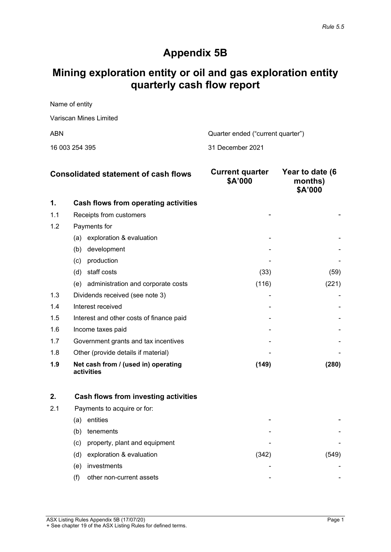# **Appendix 5B**

# **Mining exploration entity or oil and gas exploration entity quarterly cash flow report**

Name of entity Variscan Mines Limited ABN Cuarter ended ("current quarter")

16 003 254 395 31 December 2021

|     | <b>Consolidated statement of cash flows</b>       | <b>Current quarter</b><br>\$A'000 | Year to date (6<br>months)<br>\$A'000 |
|-----|---------------------------------------------------|-----------------------------------|---------------------------------------|
| 1.  | Cash flows from operating activities              |                                   |                                       |
| 1.1 | Receipts from customers                           |                                   |                                       |
| 1.2 | Payments for                                      |                                   |                                       |
|     | exploration & evaluation<br>(a)                   |                                   |                                       |
|     | development<br>(b)                                |                                   |                                       |
|     | production<br>(c)                                 |                                   |                                       |
|     | staff costs<br>(d)                                | (33)                              | (59)                                  |
|     | (e) administration and corporate costs            | (116)                             | (221)                                 |
| 1.3 | Dividends received (see note 3)                   |                                   |                                       |
| 1.4 | Interest received                                 |                                   |                                       |
| 1.5 | Interest and other costs of finance paid          |                                   |                                       |
| 1.6 | Income taxes paid                                 |                                   |                                       |
| 1.7 | Government grants and tax incentives              |                                   |                                       |
| 1.8 | Other (provide details if material)               |                                   |                                       |
| 1.9 | Net cash from / (used in) operating<br>activities | (149)                             | (280)                                 |

|     |     | Cash flows from investing activities |      |  |
|-----|-----|--------------------------------------|------|--|
| 2.1 |     | Payments to acquire or for:          |      |  |
|     | (a) | entities                             | -    |  |
|     | (b) | tenements                            | -    |  |
|     | (c) | property, plant and equipment        | -    |  |
|     | (d) | exploration & evaluation             | (342 |  |
|     | (e) | investments                          |      |  |
|     |     | other non-current assets             | -    |  |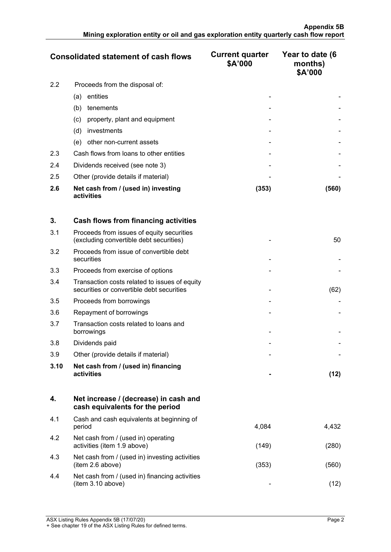|               | <b>Consolidated statement of cash flows</b>       | <b>Current quarter</b><br>\$A'000 | Year to date (6<br>months)<br>\$A'000 |
|---------------|---------------------------------------------------|-----------------------------------|---------------------------------------|
| $2.2^{\circ}$ | Proceeds from the disposal of:                    |                                   |                                       |
|               | entities<br>(a)                                   |                                   |                                       |
|               | tenements<br>(b)                                  |                                   |                                       |
|               | property, plant and equipment<br>(c)              |                                   |                                       |
|               | (d)<br>investments                                |                                   |                                       |
|               | other non-current assets<br>(e)                   |                                   |                                       |
| 2.3           | Cash flows from loans to other entities           |                                   |                                       |
| 2.4           | Dividends received (see note 3)                   |                                   |                                       |
| 2.5           | Other (provide details if material)               |                                   |                                       |
| 2.6           | Net cash from / (used in) investing<br>activities | (353)                             | (560)                                 |

| 3.   | <b>Cash flows from financing activities</b>                                                |      |
|------|--------------------------------------------------------------------------------------------|------|
| 3.1  | Proceeds from issues of equity securities<br>(excluding convertible debt securities)       | 50   |
| 3.2  | Proceeds from issue of convertible debt<br>securities                                      |      |
| 3.3  | Proceeds from exercise of options                                                          |      |
| 3.4  | Transaction costs related to issues of equity<br>securities or convertible debt securities | (62) |
| 3.5  | Proceeds from borrowings                                                                   |      |
| 3.6  | Repayment of borrowings                                                                    |      |
| 3.7  | Transaction costs related to loans and<br>borrowings                                       |      |
| 3.8  | Dividends paid                                                                             |      |
| 3.9  | Other (provide details if material)                                                        |      |
| 3.10 | Net cash from / (used in) financing<br>activities                                          | (12) |

|     | Net increase / (decrease) in cash and<br>cash equivalents for the period |       |      |
|-----|--------------------------------------------------------------------------|-------|------|
| 4.1 | Cash and cash equivalents at beginning of<br>period                      | 4.084 |      |
| 4.2 | Net cash from / (used in) operating<br>activities (item 1.9 above)       | (149) | 28C  |
| 4.3 | Net cash from / (used in) investing activities<br>(item 2.6 above)       | (353  | '56C |
| 4.4 | Net cash from / (used in) financing activities<br>(item 3.10 above)      | -     |      |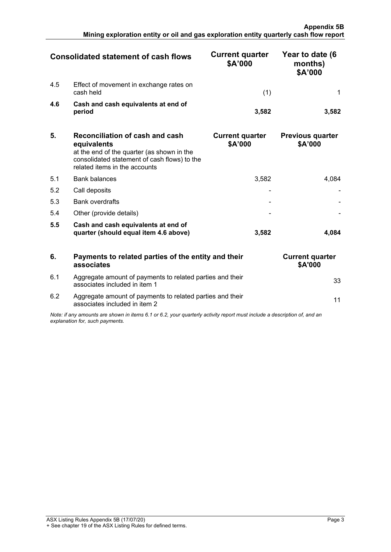|     | <b>Consolidated statement of cash flows</b>          | <b>Current quarter</b><br>\$A'000 | Year to date (6<br>months)<br>\$A'000 |
|-----|------------------------------------------------------|-----------------------------------|---------------------------------------|
| 4.5 | Effect of movement in exchange rates on<br>cash held |                                   |                                       |
| 4.6 | Cash and cash equivalents at end of<br>period        | 3.582                             |                                       |

| 5.  | Reconciliation of cash and cash<br>equivalents<br>at the end of the quarter (as shown in the<br>consolidated statement of cash flows) to the<br>related items in the accounts | <b>Current quarter</b><br>\$A'000 | <b>Previous quarter</b><br>\$A'000 |
|-----|-------------------------------------------------------------------------------------------------------------------------------------------------------------------------------|-----------------------------------|------------------------------------|
| 5.1 | <b>Bank balances</b>                                                                                                                                                          | 3,582                             |                                    |
| 5.2 | Call deposits                                                                                                                                                                 |                                   |                                    |
| 5.3 | <b>Bank overdrafts</b>                                                                                                                                                        |                                   |                                    |
| 5.4 | Other (provide details)                                                                                                                                                       |                                   |                                    |
| 5.5 | Cash and cash equivalents at end of<br>quarter (should equal item 4.6 above)                                                                                                  | 3.582                             |                                    |

| 6.  | Payments to related parties of the entity and their<br>associates                                                                                           | <b>Current quarter</b><br><b>\$A'000</b> |  |
|-----|-------------------------------------------------------------------------------------------------------------------------------------------------------------|------------------------------------------|--|
| 6.1 | Aggregate amount of payments to related parties and their<br>associates included in item 1                                                                  |                                          |  |
| 6.2 | Aggregate amount of payments to related parties and their<br>associates included in item 2                                                                  |                                          |  |
|     | Note: if any amounts are shown in items 6.1 or 6.2, your quarterly activity report must include a description of, and an<br>explanation for, such payments. |                                          |  |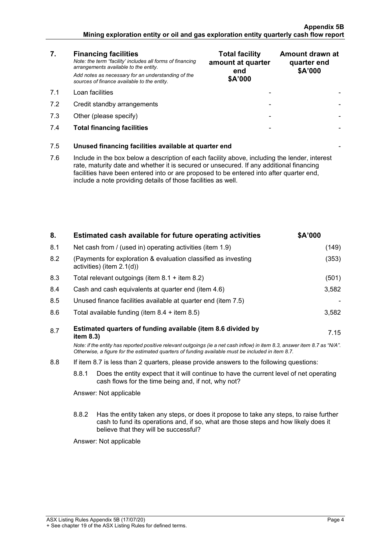#### **Appendix 5B Mining exploration entity or oil and gas exploration entity quarterly cash flow report**

| 7.  | <b>Financing facilities</b><br>Note: the term "facility' includes all forms of financing<br>arrangements available to the entity.<br>Add notes as necessary for an understanding of the<br>sources of finance available to the entity.                                                                                                               | <b>Total facility</b><br>amount at quarter<br>end<br>\$A'000 | Amount drawn at<br>quarter end<br>\$A'000 |
|-----|------------------------------------------------------------------------------------------------------------------------------------------------------------------------------------------------------------------------------------------------------------------------------------------------------------------------------------------------------|--------------------------------------------------------------|-------------------------------------------|
| 7.1 | Loan facilities                                                                                                                                                                                                                                                                                                                                      |                                                              |                                           |
| 7.2 | Credit standby arrangements                                                                                                                                                                                                                                                                                                                          |                                                              |                                           |
| 7.3 | Other (please specify)                                                                                                                                                                                                                                                                                                                               |                                                              |                                           |
| 7.4 | <b>Total financing facilities</b>                                                                                                                                                                                                                                                                                                                    |                                                              |                                           |
| 7.5 | Unused financing facilities available at quarter end                                                                                                                                                                                                                                                                                                 |                                                              |                                           |
| 7.6 | Include in the box below a description of each facility above, including the lender, interest<br>rate, maturity date and whether it is secured or unsecured. If any additional financing<br>facilities have been entered into or are proposed to be entered into after quarter end,<br>include a note providing details of those facilities as well. |                                                              |                                           |
|     |                                                                                                                                                                                                                                                                                                                                                      |                                                              |                                           |

| 8.  | Estimated cash available for future operating activities                                                                                                                                                                        | <b>SA'000</b> |
|-----|---------------------------------------------------------------------------------------------------------------------------------------------------------------------------------------------------------------------------------|---------------|
| 8.1 | Net cash from / (used in) operating activities (item 1.9)                                                                                                                                                                       | (149)         |
| 8.2 | (Payments for exploration & evaluation classified as investing<br>activities) (item $2.1(d)$ )                                                                                                                                  | (353)         |
| 8.3 | Total relevant outgoings (item $8.1 +$ item $8.2$ )                                                                                                                                                                             | (501)         |
| 8.4 | Cash and cash equivalents at quarter end (item 4.6)                                                                                                                                                                             | 3,582         |
| 8.5 | Unused finance facilities available at quarter end (item 7.5)                                                                                                                                                                   |               |
| 8.6 | Total available funding (item $8.4 +$ item $8.5$ )                                                                                                                                                                              | 3,582         |
| 8.7 | Estimated quarters of funding available (item 8.6 divided by<br>item $8.3$ )                                                                                                                                                    | 7.15          |
|     | Note: if the entity has reported positive relevant outgoings (ie a net cash inflow) in item 8.3, answer item 8.7 as "N/A".<br>Otherwise, a figure for the estimated quarters of funding available must be included in item 8.7. |               |
| 8.8 | If item 8.7 is less than 2 quarters, please provide answers to the following questions:                                                                                                                                         |               |
|     | 8.8.1<br>Does the entity expect that it will continue to have the current level of net operating<br>cash flows for the time being and, if not, why not?                                                                         |               |
|     | Answer: Not applicable                                                                                                                                                                                                          |               |

8.8.2 Has the entity taken any steps, or does it propose to take any steps, to raise further cash to fund its operations and, if so, what are those steps and how likely does it believe that they will be successful?

Answer: Not applicable